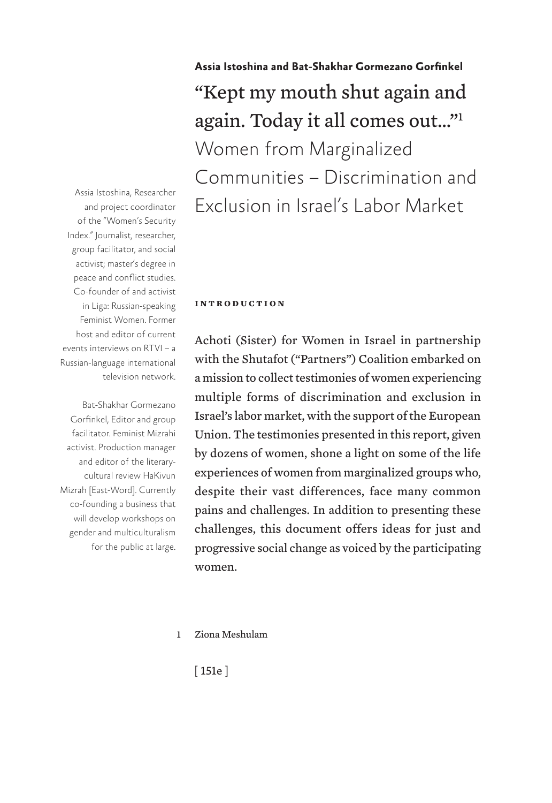**Assia Istoshina and Bat-Shakhar Gormezano Gorfinkel** "Kept my mouth shut again and again. Today it all comes out…"1 Women from Marginalized Communities – Discrimination and Exclusion in Israel's Labor Market

Assia Istoshina, Researcher and project coordinator of the "Women's Security Index." Journalist, researcher, group facilitator, and social activist; master's degree in peace and conflict studies. Co-founder of and activist in Liga: Russian-speaking Feminist Women. Former host and editor of current events interviews on RTVI – a Russian-language international television network.

Bat-Shakhar Gormezano Gorfinkel, Editor and group facilitator. Feminist Mizrahi activist. Production manager and editor of the literarycultural review HaKivun Mizrah [East-Word]. Currently co-founding a business that will develop workshops on gender and multiculturalism for the public at large.

#### **introduction**

Achoti (Sister) for Women in Israel in partnership with the Shutafot ("Partners") Coalition embarked on a mission to collect testimonies of women experiencing multiple forms of discrimination and exclusion in Israel's labor market, with the support of the European Union. The testimonies presented in this report, given by dozens of women, shone a light on some of the life experiences of women from marginalized groups who, despite their vast differences, face many common pains and challenges. In addition to presenting these challenges, this document offers ideas for just and progressive social change as voiced by the participating women.

1 Ziona Meshulam

[ 151e ]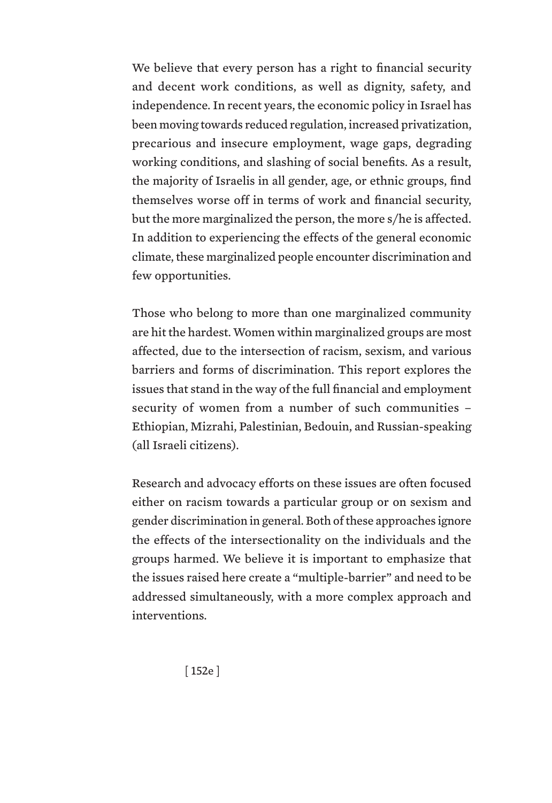We believe that every person has a right to financial security and decent work conditions, as well as dignity, safety, and independence. In recent years, the economic policy in Israel has been moving towards reduced regulation, increased privatization, precarious and insecure employment, wage gaps, degrading working conditions, and slashing of social benefits. As a result, the majority of Israelis in all gender, age, or ethnic groups, find themselves worse off in terms of work and financial security, but the more marginalized the person, the more s/he is affected. In addition to experiencing the effects of the general economic climate, these marginalized people encounter discrimination and few opportunities.

Those who belong to more than one marginalized community are hit the hardest. Women within marginalized groups are most affected, due to the intersection of racism, sexism, and various barriers and forms of discrimination. This report explores the issues that stand in the way of the full financial and employment security of women from a number of such communities – Ethiopian, Mizrahi, Palestinian, Bedouin, and Russian-speaking (all Israeli citizens).

Research and advocacy efforts on these issues are often focused either on racism towards a particular group or on sexism and gender discrimination in general. Both of these approaches ignore the effects of the intersectionality on the individuals and the groups harmed. We believe it is important to emphasize that the issues raised here create a "multiple-barrier" and need to be addressed simultaneously, with a more complex approach and interventions.

[ 152e ]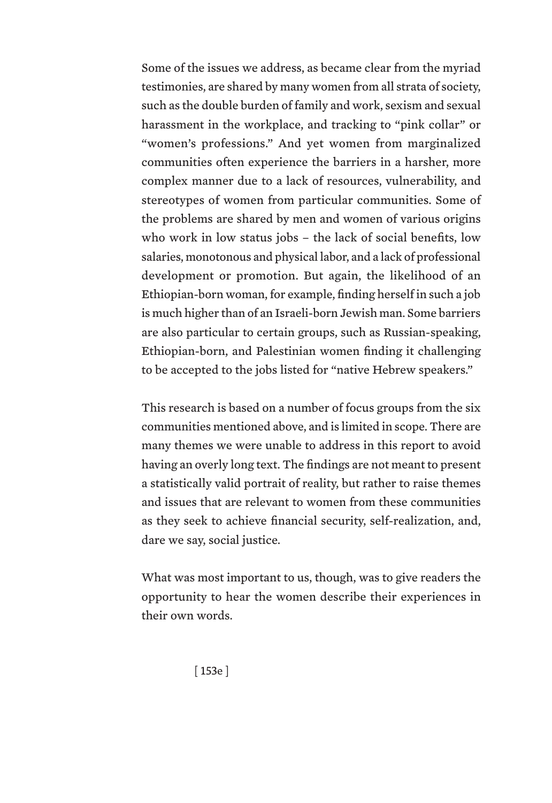Some of the issues we address, as became clear from the myriad testimonies, are shared by many women from all strata of society, such as the double burden of family and work, sexism and sexual harassment in the workplace, and tracking to "pink collar" or "women's professions." And yet women from marginalized communities often experience the barriers in a harsher, more complex manner due to a lack of resources, vulnerability, and stereotypes of women from particular communities. Some of the problems are shared by men and women of various origins who work in low status jobs – the lack of social benefits, low salaries, monotonous and physical labor, and a lack of professional development or promotion. But again, the likelihood of an Ethiopian-born woman, for example, finding herself in such a job is much higher than of an Israeli-born Jewish man. Some barriers are also particular to certain groups, such as Russian-speaking, Ethiopian-born, and Palestinian women finding it challenging to be accepted to the jobs listed for "native Hebrew speakers."

This research is based on a number of focus groups from the six communities mentioned above, and is limited in scope. There are many themes we were unable to address in this report to avoid having an overly long text. The findings are not meant to present a statistically valid portrait of reality, but rather to raise themes and issues that are relevant to women from these communities as they seek to achieve financial security, self-realization, and, dare we say, social justice.

What was most important to us, though, was to give readers the opportunity to hear the women describe their experiences in their own words.

[ 153e ]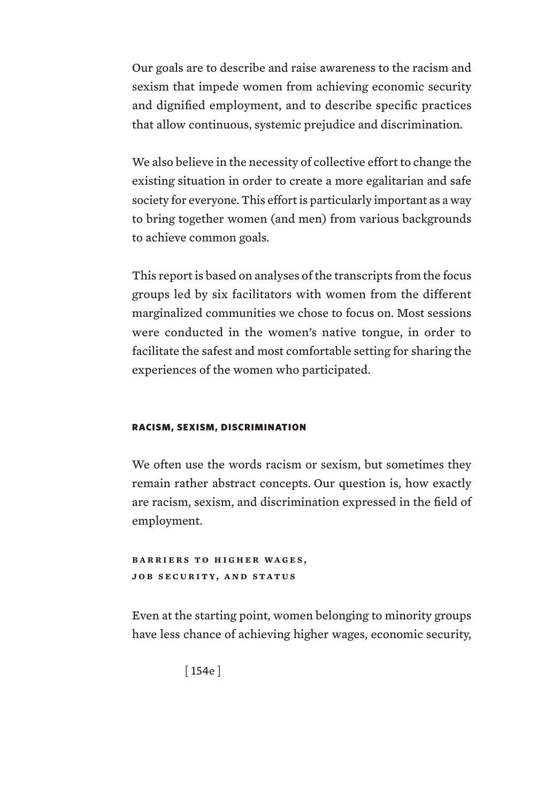Our goals are to describe and raise awareness to the racism and sexism that impede women from achieving economic security and dignified employment, and to describe specific practices that allow continuous, systemic prejudice and discrimination.

We also believe in the necessity of collective effort to change the existing situation in order to create a more egalitarian and safe society for everyone. This effort is particularly important as a way to bring together women (and men) from various backgrounds to achieve common goals.

This report is based on analyses of the transcripts from the focus groups led by six facilitators with women from the different marginalized communities we chose to focus on. Most sessions were conducted in the women's native tongue, in order to facilitate the safest and most comfortable setting for sharing the experiences of the women who participated.

### RACISM, SEXISM, DISCRIMINATION

We often use the words racism or sexism, but sometimes they remain rather abstract concepts. Our question is, how exactly are racism, sexism, and discrimination expressed in the field of employment.

**BARRIERS TO HIGHER WAGES, job security, and status**

Even at the starting point, women belonging to minority groups have less chance of achieving higher wages, economic security,

[ 154e ]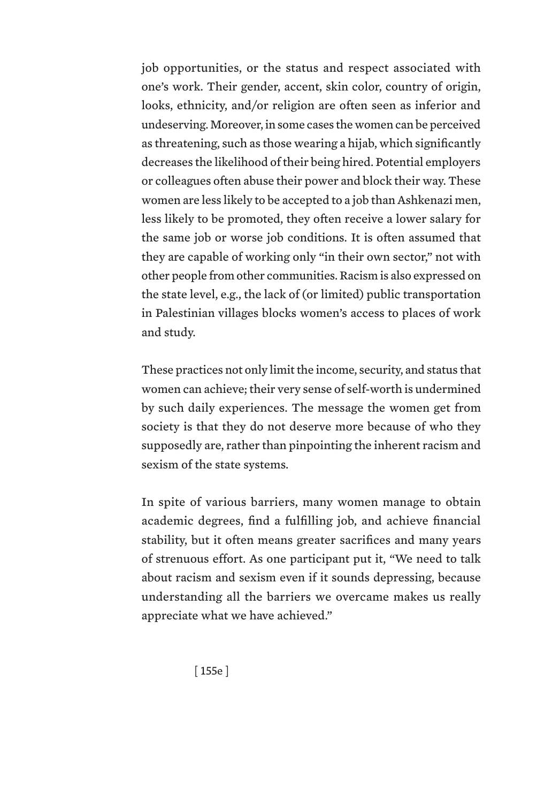job opportunities, or the status and respect associated with one's work. Their gender, accent, skin color, country of origin, looks, ethnicity, and/or religion are often seen as inferior and undeserving. Moreover, in some cases the women can be perceived as threatening, such as those wearing a hijab, which significantly decreases the likelihood of their being hired. Potential employers or colleagues often abuse their power and block their way. These women are less likely to be accepted to a job than Ashkenazi men, less likely to be promoted, they often receive a lower salary for the same job or worse job conditions. It is often assumed that they are capable of working only "in their own sector," not with other people from other communities. Racism is also expressed on the state level, e.g., the lack of (or limited) public transportation in Palestinian villages blocks women's access to places of work and study.

These practices not only limit the income, security, and status that women can achieve; their very sense of self-worth is undermined by such daily experiences. The message the women get from society is that they do not deserve more because of who they supposedly are, rather than pinpointing the inherent racism and sexism of the state systems.

In spite of various barriers, many women manage to obtain academic degrees, find a fulfilling job, and achieve financial stability, but it often means greater sacrifices and many years of strenuous effort. As one participant put it, "We need to talk about racism and sexism even if it sounds depressing, because understanding all the barriers we overcame makes us really appreciate what we have achieved."

[ 155e ]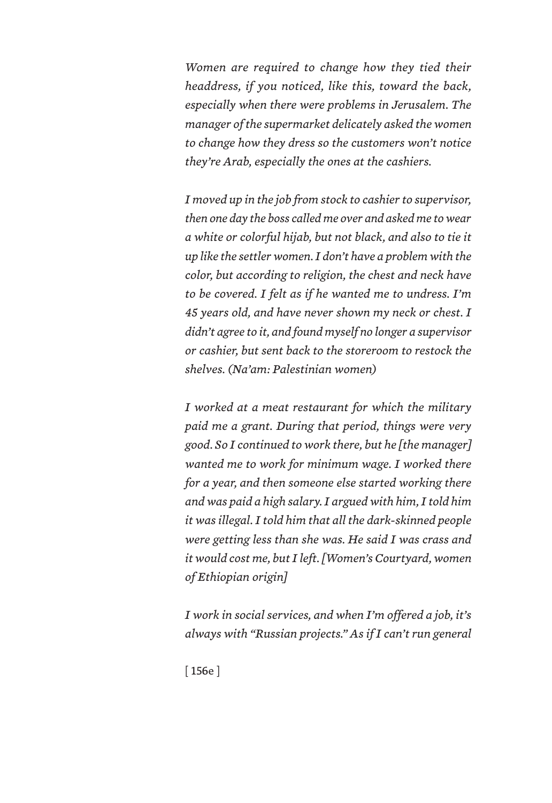*Women are required to change how they tied their headdress, if you noticed, like this, toward the back, especially when there were problems in Jerusalem. The manager of the supermarket delicately asked the women to change how they dress so the customers won't notice they're Arab, especially the ones at the cashiers.*

*I moved up in the job from stock to cashier to supervisor, then one day the boss called me over and asked me to wear a white or colorful hijab, but not black, and also to tie it up like the settler women. I don't have a problem with the color, but according to religion, the chest and neck have to be covered. I felt as if he wanted me to undress. I'm 45 years old, and have never shown my neck or chest. I didn't agree to it, and found myself no longer a supervisor or cashier, but sent back to the storeroom to restock the shelves. (Na'am: Palestinian women)*

*I worked at a meat restaurant for which the military paid me a grant. During that period, things were very good. So I continued to work there, but he [the manager] wanted me to work for minimum wage. I worked there for a year, and then someone else started working there and was paid a high salary. I argued with him, I told him it was illegal. I told him that all the dark-skinned people were getting less than she was. He said I was crass and it would cost me, but I left. [Women's Courtyard, women of Ethiopian origin]*

*I work in social services, and when I'm offered a job, it's always with "Russian projects." As if I can't run general* 

[ 156e ]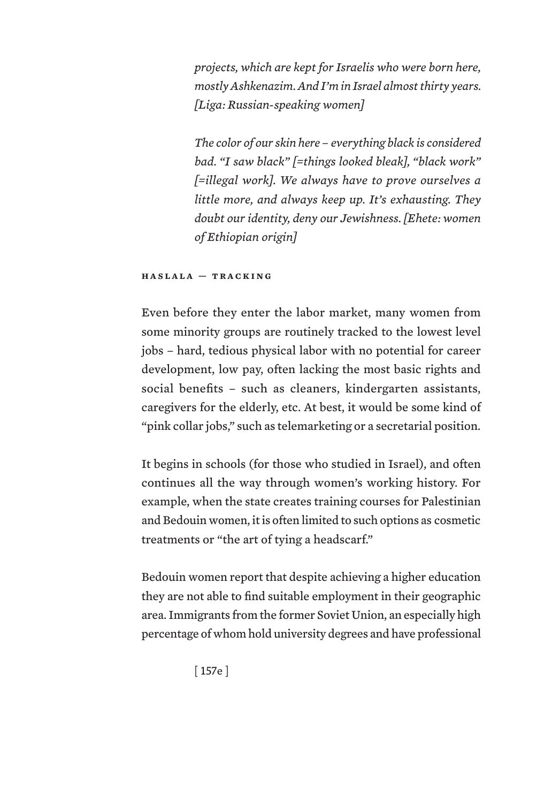*projects, which are kept for Israelis who were born here, mostly Ashkenazim. And I'm in Israel almost thirty years. [Liga: Russian-speaking women]*

*The color of our skin here – everything black is considered bad. "I saw black" [=things looked bleak], "black work" [=illegal work]. We always have to prove ourselves a little more, and always keep up. It's exhausting. They doubt our identity, deny our Jewishness. [Ehete: women of Ethiopian origin]*

### **haslala — tracking**

Even before they enter the labor market, many women from some minority groups are routinely tracked to the lowest level jobs – hard, tedious physical labor with no potential for career development, low pay, often lacking the most basic rights and social benefits – such as cleaners, kindergarten assistants, caregivers for the elderly, etc. At best, it would be some kind of "pink collar jobs," such as telemarketing or a secretarial position.

It begins in schools (for those who studied in Israel), and often continues all the way through women's working history. For example, when the state creates training courses for Palestinian and Bedouin women, it is often limited to such options as cosmetic treatments or "the art of tying a headscarf."

Bedouin women report that despite achieving a higher education they are not able to find suitable employment in their geographic area. Immigrants from the former Soviet Union, an especially high percentage of whom hold university degrees and have professional

[ 157e ]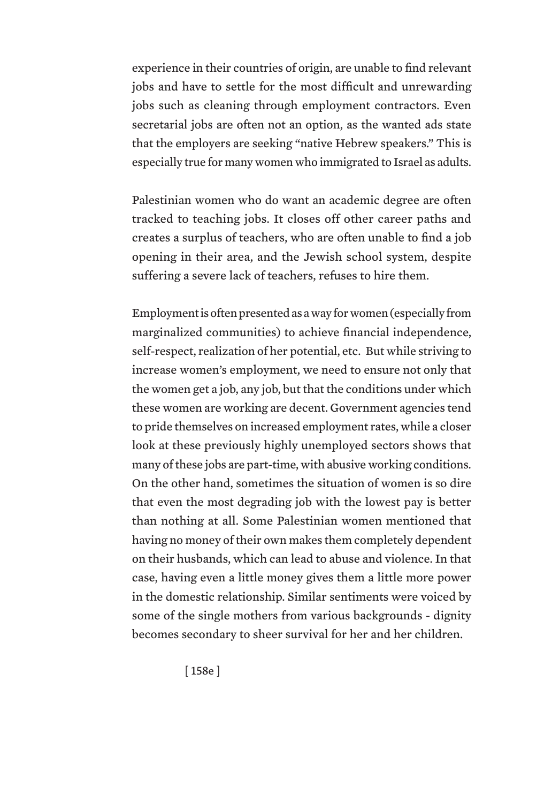experience in their countries of origin, are unable to find relevant jobs and have to settle for the most difficult and unrewarding jobs such as cleaning through employment contractors. Even secretarial jobs are often not an option, as the wanted ads state that the employers are seeking "native Hebrew speakers." This is especially true for many women who immigrated to Israel as adults.

Palestinian women who do want an academic degree are often tracked to teaching jobs. It closes off other career paths and creates a surplus of teachers, who are often unable to find a job opening in their area, and the Jewish school system, despite suffering a severe lack of teachers, refuses to hire them.

Employment is often presented as a way for women (especially from marginalized communities) to achieve financial independence, self-respect, realization of her potential, etc. But while striving to increase women's employment, we need to ensure not only that the women get a job, any job, but that the conditions under which these women are working are decent. Government agencies tend to pride themselves on increased employment rates, while a closer look at these previously highly unemployed sectors shows that many of these jobs are part-time, with abusive working conditions. On the other hand, sometimes the situation of women is so dire that even the most degrading job with the lowest pay is better than nothing at all. Some Palestinian women mentioned that having no money of their own makes them completely dependent on their husbands, which can lead to abuse and violence. In that case, having even a little money gives them a little more power in the domestic relationship. Similar sentiments were voiced by some of the single mothers from various backgrounds - dignity becomes secondary to sheer survival for her and her children.

[ 158e ]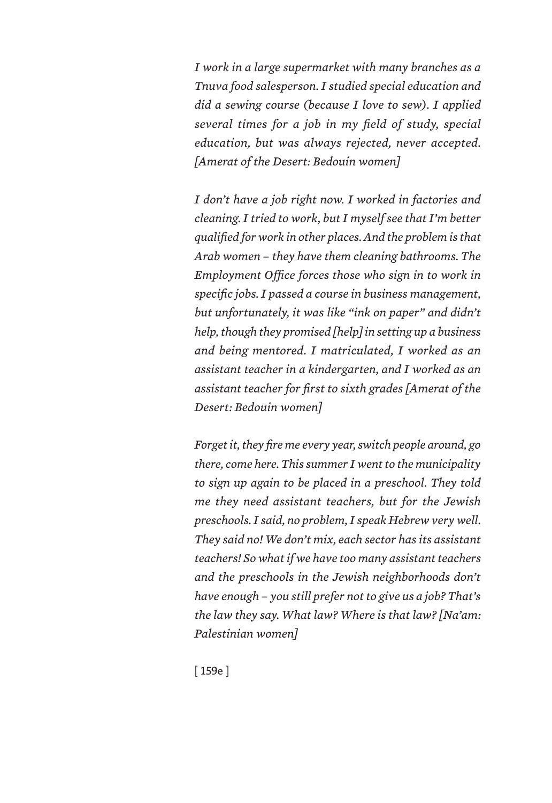*I work in a large supermarket with many branches as a Tnuva food salesperson. I studied special education and did a sewing course (because I love to sew). I applied several times for a job in my field of study, special education, but was always rejected, never accepted. [Amerat of the Desert: Bedouin women]*

*I don't have a job right now. I worked in factories and cleaning. I tried to work, but I myself see that I'm better qualified for work in other places. And the problem is that Arab women – they have them cleaning bathrooms. The Employment Office forces those who sign in to work in specific jobs. I passed a course in business management, but unfortunately, it was like "ink on paper" and didn't help, though they promised [help] in setting up a business and being mentored. I matriculated, I worked as an assistant teacher in a kindergarten, and I worked as an assistant teacher for first to sixth grades [Amerat of the Desert: Bedouin women]*

*Forget it, they fire me every year, switch people around, go there, come here. This summer I went to the municipality to sign up again to be placed in a preschool. They told me they need assistant teachers, but for the Jewish preschools. I said, no problem, I speak Hebrew very well. They said no! We don't mix, each sector has its assistant teachers! So what if we have too many assistant teachers and the preschools in the Jewish neighborhoods don't have enough – you still prefer not to give us a job? That's the law they say. What law? Where is that law? [Na'am: Palestinian women]*

[ 159e ]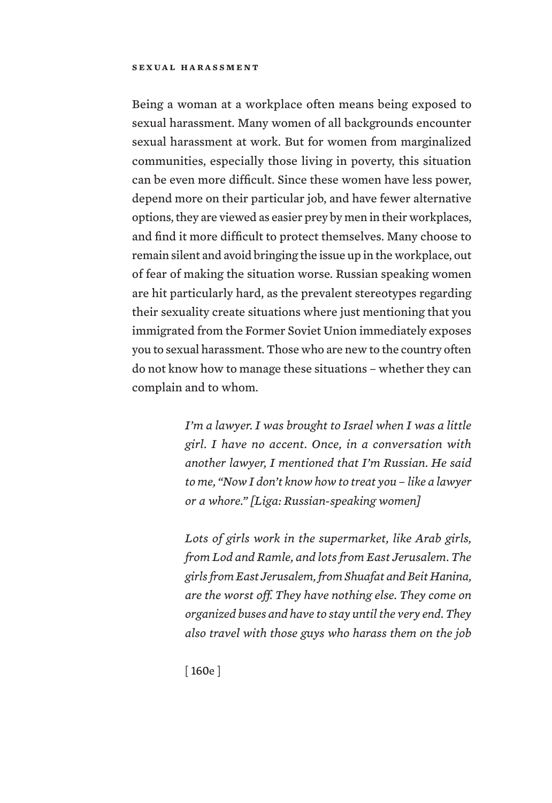### **sexual harassment**

Being a woman at a workplace often means being exposed to sexual harassment. Many women of all backgrounds encounter sexual harassment at work. But for women from marginalized communities, especially those living in poverty, this situation can be even more difficult. Since these women have less power, depend more on their particular job, and have fewer alternative options, they are viewed as easier prey by men in their workplaces, and find it more difficult to protect themselves. Many choose to remain silent and avoid bringing the issue up in the workplace, out of fear of making the situation worse. Russian speaking women are hit particularly hard, as the prevalent stereotypes regarding their sexuality create situations where just mentioning that you immigrated from the Former Soviet Union immediately exposes you to sexual harassment. Those who are new to the country often do not know how to manage these situations – whether they can complain and to whom.

> *I'm a lawyer. I was brought to Israel when I was a little girl. I have no accent. Once, in a conversation with another lawyer, I mentioned that I'm Russian. He said to me, "Now I don't know how to treat you – like a lawyer or a whore." [Liga: Russian-speaking women]*

> *Lots of girls work in the supermarket, like Arab girls, from Lod and Ramle, and lots from East Jerusalem. The girls from East Jerusalem, from Shuafat and Beit Hanina, are the worst off. They have nothing else. They come on organized buses and have to stay until the very end. They also travel with those guys who harass them on the job*

[ 160e ]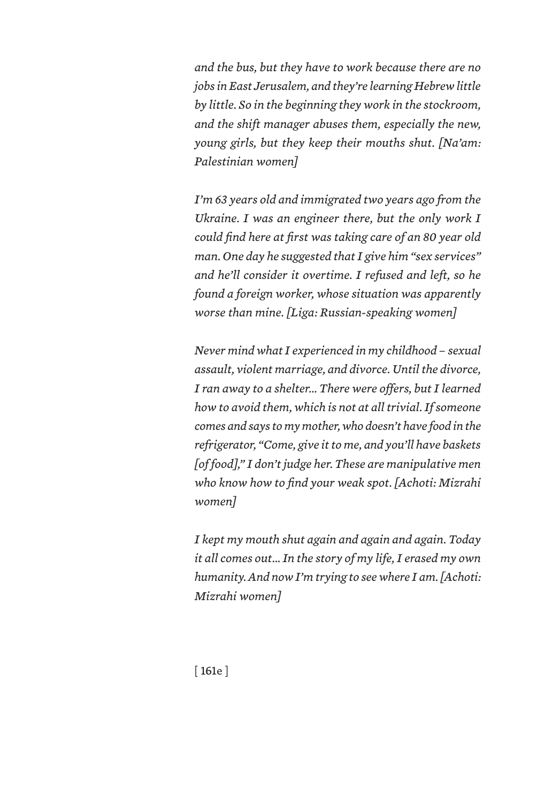*and the bus, but they have to work because there are no jobs in East Jerusalem, and they're learning Hebrew little by little. So in the beginning they work in the stockroom, and the shift manager abuses them, especially the new, young girls, but they keep their mouths shut. [Na'am: Palestinian women]*

*I'm 63 years old and immigrated two years ago from the Ukraine. I was an engineer there, but the only work I could find here at first was taking care of an 80 year old man. One day he suggested that I give him "sex services" and he'll consider it overtime. I refused and left, so he found a foreign worker, whose situation was apparently worse than mine. [Liga: Russian-speaking women]*

*Never mind what I experienced in my childhood – sexual assault, violent marriage, and divorce. Until the divorce, I ran away to a shelter… There were offers, but I learned how to avoid them, which is not at all trivial. If someone comes and says to my mother, who doesn't have food in the refrigerator, "Come, give it to me, and you'll have baskets [of food]," I don't judge her. These are manipulative men who know how to find your weak spot. [Achoti: Mizrahi women]*

*I kept my mouth shut again and again and again. Today it all comes out… In the story of my life, I erased my own humanity. And now I'm trying to see where I am. [Achoti: Mizrahi women]*

[ 161e ]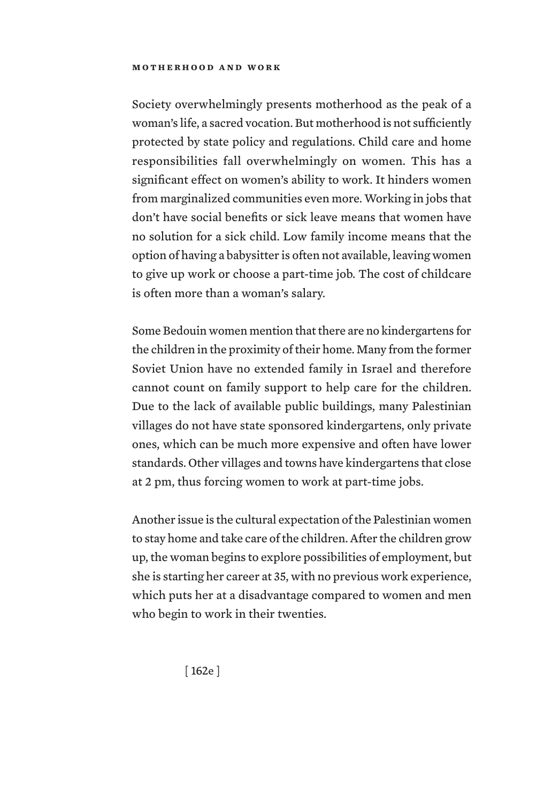Society overwhelmingly presents motherhood as the peak of a woman's life, a sacred vocation. But motherhood is not sufficiently protected by state policy and regulations. Child care and home responsibilities fall overwhelmingly on women. This has a significant effect on women's ability to work. It hinders women from marginalized communities even more. Working in jobs that don't have social benefits or sick leave means that women have no solution for a sick child. Low family income means that the option of having a babysitter is often not available, leaving women to give up work or choose a part-time job. The cost of childcare is often more than a woman's salary.

Some Bedouin women mention that there are no kindergartens for the children in the proximity of their home. Many from the former Soviet Union have no extended family in Israel and therefore cannot count on family support to help care for the children. Due to the lack of available public buildings, many Palestinian villages do not have state sponsored kindergartens, only private ones, which can be much more expensive and often have lower standards. Other villages and towns have kindergartens that close at 2 pm, thus forcing women to work at part-time jobs.

Another issue is the cultural expectation of the Palestinian women to stay home and take care of the children. After the children grow up, the woman begins to explore possibilities of employment, but she is starting her career at 35, with no previous work experience, which puts her at a disadvantage compared to women and men who begin to work in their twenties.

[ 162e ]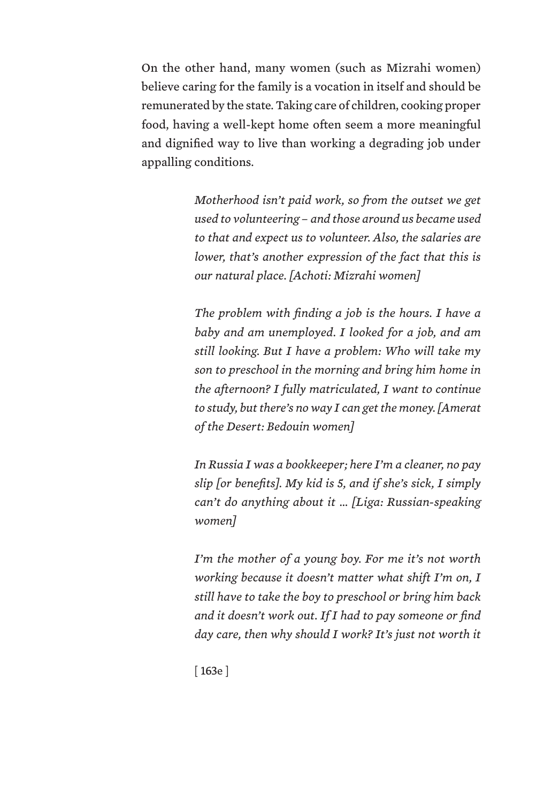On the other hand, many women (such as Mizrahi women) believe caring for the family is a vocation in itself and should be remunerated by the state. Taking care of children, cooking proper food, having a well-kept home often seem a more meaningful and dignified way to live than working a degrading job under appalling conditions.

> *Motherhood isn't paid work, so from the outset we get used to volunteering – and those around us became used to that and expect us to volunteer. Also, the salaries are lower, that's another expression of the fact that this is our natural place. [Achoti: Mizrahi women]*

> *The problem with finding a job is the hours. I have a baby and am unemployed. I looked for a job, and am still looking. But I have a problem: Who will take my son to preschool in the morning and bring him home in the afternoon? I fully matriculated, I want to continue to study, but there's no way I can get the money. [Amerat of the Desert: Bedouin women]*

> *In Russia I was a bookkeeper; here I'm a cleaner, no pay slip [or benefits]. My kid is 5, and if she's sick, I simply can't do anything about it … [Liga: Russian-speaking women]*

> *I'm the mother of a young boy. For me it's not worth working because it doesn't matter what shift I'm on, I still have to take the boy to preschool or bring him back and it doesn't work out. If I had to pay someone or find day care, then why should I work? It's just not worth it*

[ 163e ]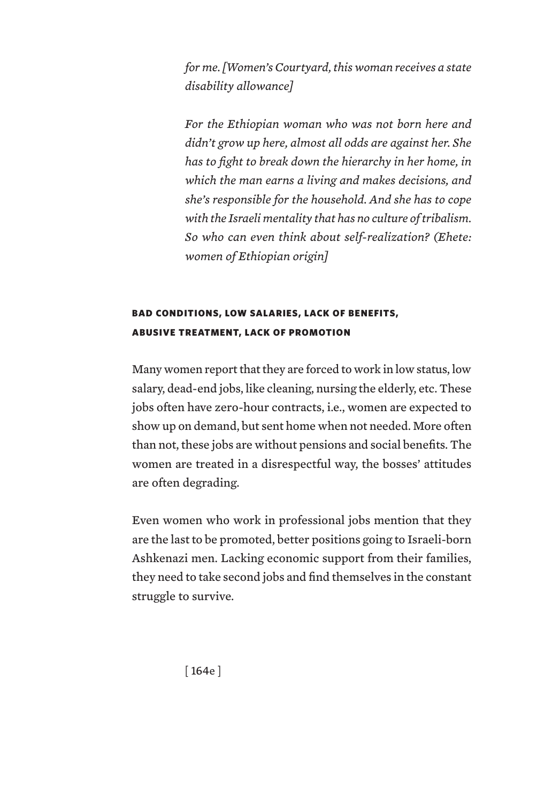*for me. [Women's Courtyard, this woman receives a state disability allowance]*

*For the Ethiopian woman who was not born here and didn't grow up here, almost all odds are against her. She has to fight to break down the hierarchy in her home, in which the man earns a living and makes decisions, and she's responsible for the household. And she has to cope with the Israeli mentality that has no culture of tribalism. So who can even think about self-realization? (Ehete: women of Ethiopian origin]*

# BAD CONDITIONS, LOW SALARIES, LACK OF BENEFITS, ABUSIVE TREATMENT, LACK OF PROMOTION

Many women report that they are forced to work in low status, low salary, dead-end jobs, like cleaning, nursing the elderly, etc. These jobs often have zero-hour contracts, i.e., women are expected to show up on demand, but sent home when not needed. More often than not, these jobs are without pensions and social benefits. The women are treated in a disrespectful way, the bosses' attitudes are often degrading.

Even women who work in professional jobs mention that they are the last to be promoted, better positions going to Israeli-born Ashkenazi men. Lacking economic support from their families, they need to take second jobs and find themselves in the constant struggle to survive.

[ 164e ]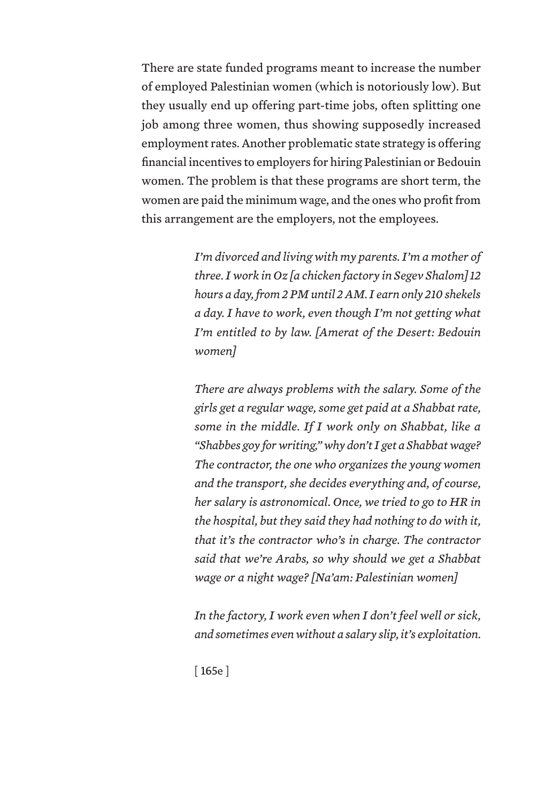There are state funded programs meant to increase the number of employed Palestinian women (which is notoriously low). But they usually end up offering part-time jobs, often splitting one job among three women, thus showing supposedly increased employment rates. Another problematic state strategy is offering financial incentives to employers for hiring Palestinian or Bedouin women. The problem is that these programs are short term, the women are paid the minimum wage, and the ones who profit from this arrangement are the employers, not the employees.

> *I'm divorced and living with my parents. I'm a mother of three. I work in Oz [a chicken factory in Segev Shalom] 12 hours a day, from 2 PM until 2 AM. I earn only 210 shekels a day. I have to work, even though I'm not getting what I'm entitled to by law. [Amerat of the Desert: Bedouin women]*

> *There are always problems with the salary. Some of the girls get a regular wage, some get paid at a Shabbat rate, some in the middle. If I work only on Shabbat, like a "Shabbes goy for writing," why don't I get a Shabbat wage? The contractor, the one who organizes the young women and the transport, she decides everything and, of course, her salary is astronomical. Once, we tried to go to HR in the hospital, but they said they had nothing to do with it, that it's the contractor who's in charge. The contractor said that we're Arabs, so why should we get a Shabbat wage or a night wage? [Na'am: Palestinian women]*

> *In the factory, I work even when I don't feel well or sick, and sometimes even without a salary slip, it's exploitation.*

[ 165e ]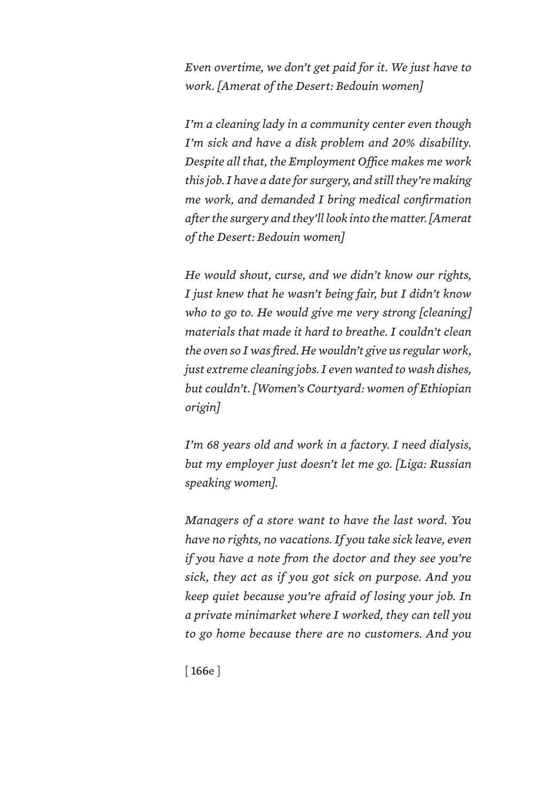*Even overtime, we don't get paid for it. We just have to work. [Amerat of the Desert: Bedouin women]*

*I'm a cleaning lady in a community center even though I'm sick and have a disk problem and 20% disability. Despite all that, the Employment Office makes me work this job. I have a date for surgery, and still they're making me work, and demanded I bring medical confirmation after the surgery and they'll look into the matter. [Amerat of the Desert: Bedouin women]*

*He would shout, curse, and we didn't know our rights, I just knew that he wasn't being fair, but I didn't know who to go to. He would give me very strong [cleaning] materials that made it hard to breathe. I couldn't clean the oven so I was fired. He wouldn't give us regular work, just extreme cleaning jobs. I even wanted to wash dishes, but couldn't. [Women's Courtyard: women of Ethiopian origin]*

*I'm 68 years old and work in a factory. I need dialysis, but my employer just doesn't let me go. [Liga: Russian speaking women].*

*Managers of a store want to have the last word. You have no rights, no vacations. If you take sick leave, even if you have a note from the doctor and they see you're sick, they act as if you got sick on purpose. And you keep quiet because you're afraid of losing your job. In a private minimarket where I worked, they can tell you to go home because there are no customers. And you* 

[ 166e ]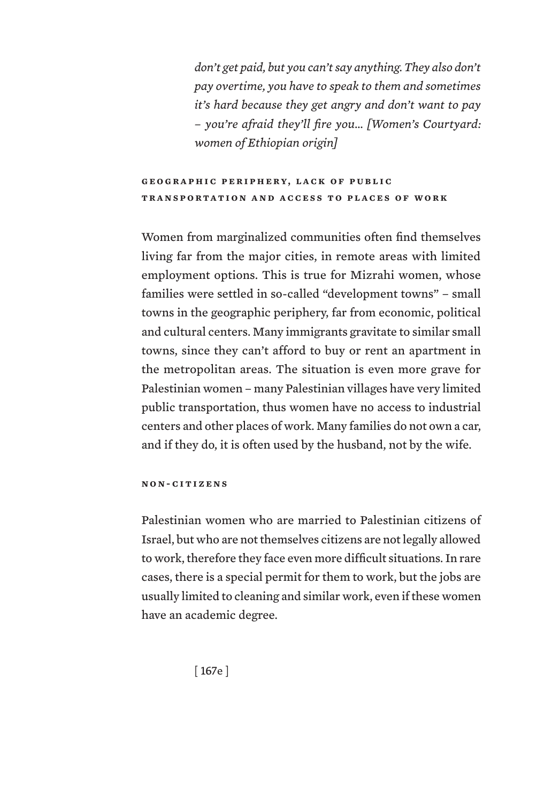*don't get paid, but you can't say anything. They also don't pay overtime, you have to speak to them and sometimes it's hard because they get angry and don't want to pay – you're afraid they'll fire you… [Women's Courtyard: women of Ethiopian origin]*

## **GEOGRAPHIC PERIPHERY, LACK OF PUBLIC transportation and access to places of work**

Women from marginalized communities often find themselves living far from the major cities, in remote areas with limited employment options. This is true for Mizrahi women, whose families were settled in so-called "development towns" – small towns in the geographic periphery, far from economic, political and cultural centers. Many immigrants gravitate to similar small towns, since they can't afford to buy or rent an apartment in the metropolitan areas. The situation is even more grave for Palestinian women – many Palestinian villages have very limited public transportation, thus women have no access to industrial centers and other places of work. Many families do not own a car, and if they do, it is often used by the husband, not by the wife.

#### **non-citizens**

Palestinian women who are married to Palestinian citizens of Israel, but who are not themselves citizens are not legally allowed to work, therefore they face even more difficult situations. In rare cases, there is a special permit for them to work, but the jobs are usually limited to cleaning and similar work, even if these women have an academic degree.

[ 167e ]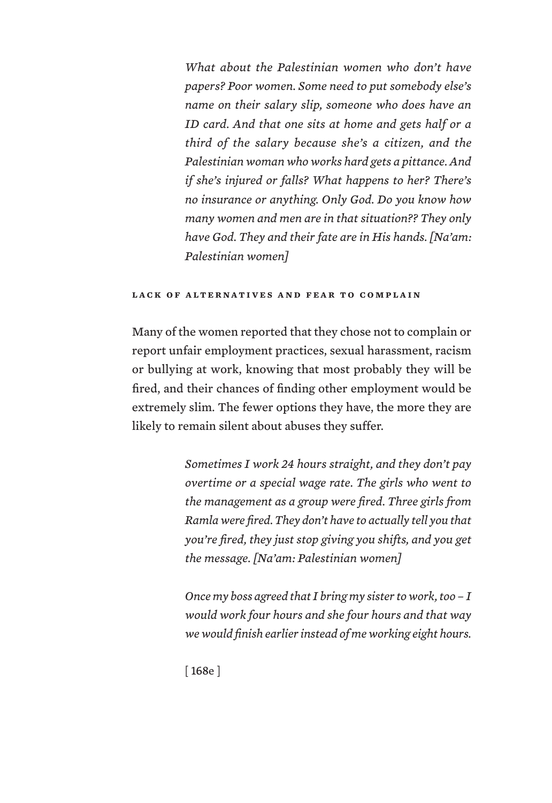*What about the Palestinian women who don't have papers? Poor women. Some need to put somebody else's name on their salary slip, someone who does have an ID card. And that one sits at home and gets half or a third of the salary because she's a citizen, and the Palestinian woman who works hard gets a pittance. And if she's injured or falls? What happens to her? There's no insurance or anything. Only God. Do you know how many women and men are in that situation?? They only have God. They and their fate are in His hands. [Na'am: Palestinian women]*

#### **lack of alternatives and fear to complain**

Many of the women reported that they chose not to complain or report unfair employment practices, sexual harassment, racism or bullying at work, knowing that most probably they will be fired, and their chances of finding other employment would be extremely slim. The fewer options they have, the more they are likely to remain silent about abuses they suffer.

> *Sometimes I work 24 hours straight, and they don't pay overtime or a special wage rate. The girls who went to the management as a group were fired. Three girls from Ramla were fired. They don't have to actually tell you that you're fired, they just stop giving you shifts, and you get the message. [Na'am: Palestinian women]*

> *Once my boss agreed that I bring my sister to work, too – I would work four hours and she four hours and that way we would finish earlier instead of me working eight hours.*

[ 168e ]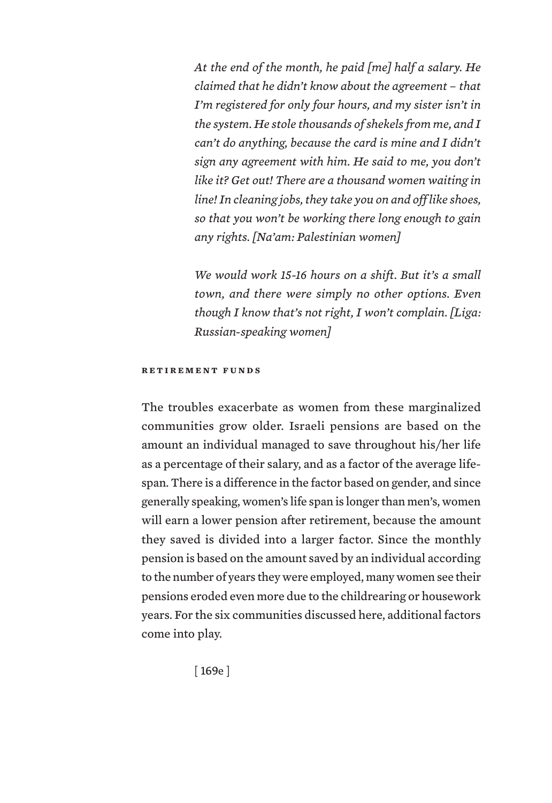*At the end of the month, he paid [me] half a salary. He claimed that he didn't know about the agreement – that I'm registered for only four hours, and my sister isn't in the system. He stole thousands of shekels from me, and I can't do anything, because the card is mine and I didn't sign any agreement with him. He said to me, you don't like it? Get out! There are a thousand women waiting in line! In cleaning jobs, they take you on and off like shoes, so that you won't be working there long enough to gain any rights. [Na'am: Palestinian women]*

*We would work 15-16 hours on a shift. But it's a small town, and there were simply no other options. Even though I know that's not right, I won't complain. [Liga: Russian-speaking women]*

### **retirement funds**

The troubles exacerbate as women from these marginalized communities grow older. Israeli pensions are based on the amount an individual managed to save throughout his/her life as a percentage of their salary, and as a factor of the average lifespan. There is a difference in the factor based on gender, and since generally speaking, women's life span is longer than men's, women will earn a lower pension after retirement, because the amount they saved is divided into a larger factor. Since the monthly pension is based on the amount saved by an individual according to the number of years they were employed, many women see their pensions eroded even more due to the childrearing or housework years. For the six communities discussed here, additional factors come into play.

[ 169e ]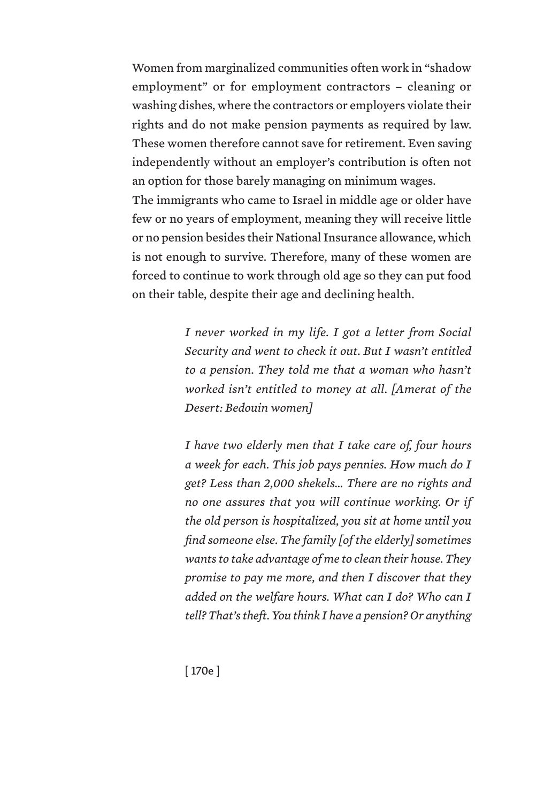Women from marginalized communities often work in "shadow employment" or for employment contractors – cleaning or washing dishes, where the contractors or employers violate their rights and do not make pension payments as required by law. These women therefore cannot save for retirement. Even saving independently without an employer's contribution is often not an option for those barely managing on minimum wages. The immigrants who came to Israel in middle age or older have

few or no years of employment, meaning they will receive little or no pension besides their National Insurance allowance, which is not enough to survive. Therefore, many of these women are forced to continue to work through old age so they can put food on their table, despite their age and declining health.

> *I never worked in my life. I got a letter from Social Security and went to check it out. But I wasn't entitled to a pension. They told me that a woman who hasn't worked isn't entitled to money at all. [Amerat of the Desert: Bedouin women]*

> *I have two elderly men that I take care of, four hours a week for each. This job pays pennies. How much do I get? Less than 2,000 shekels… There are no rights and no one assures that you will continue working. Or if the old person is hospitalized, you sit at home until you find someone else. The family [of the elderly] sometimes wants to take advantage of me to clean their house. They promise to pay me more, and then I discover that they added on the welfare hours. What can I do? Who can I tell? That's theft. You think I have a pension? Or anything*

[ 170e ]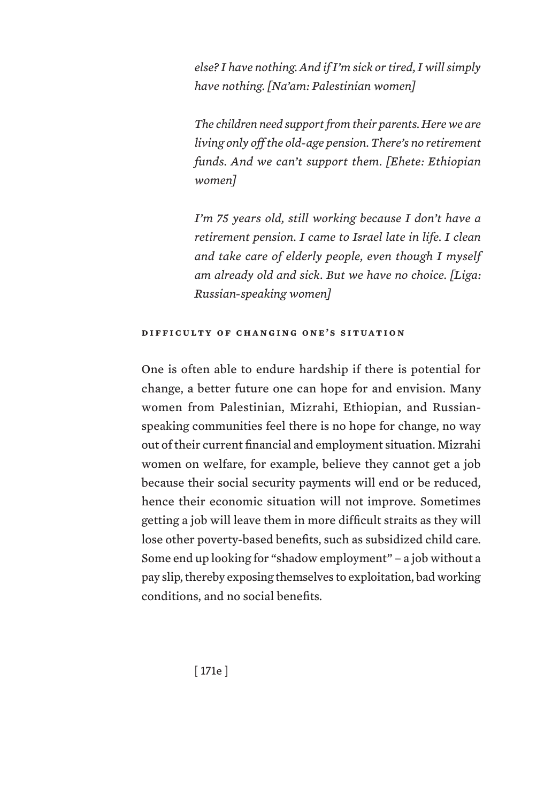*else? I have nothing. And if I'm sick or tired, I will simply have nothing. [Na'am: Palestinian women]*

*The children need support from their parents. Here we are living only off the old-age pension. There's no retirement funds. And we can't support them. [Ehete: Ethiopian women]*

*I'm 75 years old, still working because I don't have a retirement pension. I came to Israel late in life. I clean and take care of elderly people, even though I myself am already old and sick. But we have no choice. [Liga: Russian-speaking women]*

### **difficulty of changing one's situation**

One is often able to endure hardship if there is potential for change, a better future one can hope for and envision. Many women from Palestinian, Mizrahi, Ethiopian, and Russianspeaking communities feel there is no hope for change, no way out of their current financial and employment situation. Mizrahi women on welfare, for example, believe they cannot get a job because their social security payments will end or be reduced, hence their economic situation will not improve. Sometimes getting a job will leave them in more difficult straits as they will lose other poverty-based benefits, such as subsidized child care. Some end up looking for "shadow employment" – a job without a pay slip, thereby exposing themselves to exploitation, bad working conditions, and no social benefits.

[ 171e ]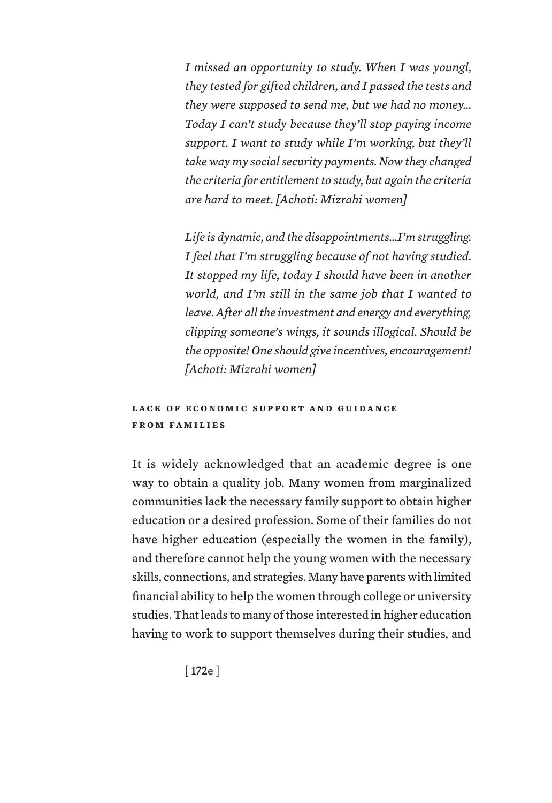*I missed an opportunity to study. When I was youngl, they tested for gifted children, and I passed the tests and they were supposed to send me, but we had no money… Today I can't study because they'll stop paying income support. I want to study while I'm working, but they'll take way my social security payments. Now they changed the criteria for entitlement to study, but again the criteria are hard to meet. [Achoti: Mizrahi women]*

*Life is dynamic, and the disappointments…I'm struggling. I feel that I'm struggling because of not having studied. It stopped my life, today I should have been in another world, and I'm still in the same job that I wanted to leave. After all the investment and energy and everything, clipping someone's wings, it sounds illogical. Should be the opposite! One should give incentives, encouragement! [Achoti: Mizrahi women]*

## LACK OF ECONOMIC SUPPORT AND GUIDANCE **from families**

It is widely acknowledged that an academic degree is one way to obtain a quality job. Many women from marginalized communities lack the necessary family support to obtain higher education or a desired profession. Some of their families do not have higher education (especially the women in the family), and therefore cannot help the young women with the necessary skills, connections, and strategies. Many have parents with limited financial ability to help the women through college or university studies. That leads to many of those interested in higher education having to work to support themselves during their studies, and

[ 172e ]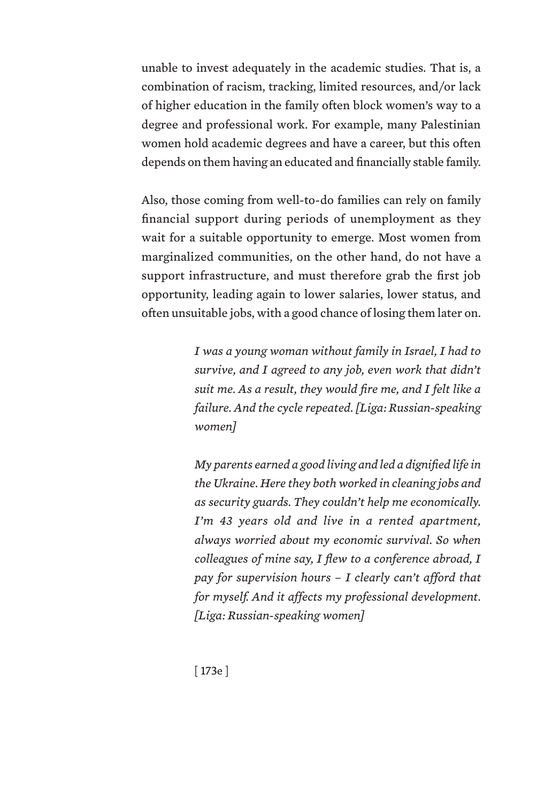unable to invest adequately in the academic studies. That is, a combination of racism, tracking, limited resources, and/or lack of higher education in the family often block women's way to a degree and professional work. For example, many Palestinian women hold academic degrees and have a career, but this often depends on them having an educated and financially stable family.

Also, those coming from well-to-do families can rely on family financial support during periods of unemployment as they wait for a suitable opportunity to emerge. Most women from marginalized communities, on the other hand, do not have a support infrastructure, and must therefore grab the first job opportunity, leading again to lower salaries, lower status, and often unsuitable jobs, with a good chance of losing them later on.

> *I was a young woman without family in Israel, I had to survive, and I agreed to any job, even work that didn't suit me. As a result, they would fire me, and I felt like a failure. And the cycle repeated. [Liga: Russian-speaking women]*

> *My parents earned a good living and led a dignified life in the Ukraine. Here they both worked in cleaning jobs and as security guards. They couldn't help me economically. I'm 43 years old and live in a rented apartment, always worried about my economic survival. So when colleagues of mine say, I flew to a conference abroad, I pay for supervision hours – I clearly can't afford that for myself. And it affects my professional development. [Liga: Russian-speaking women]*

[ 173e ]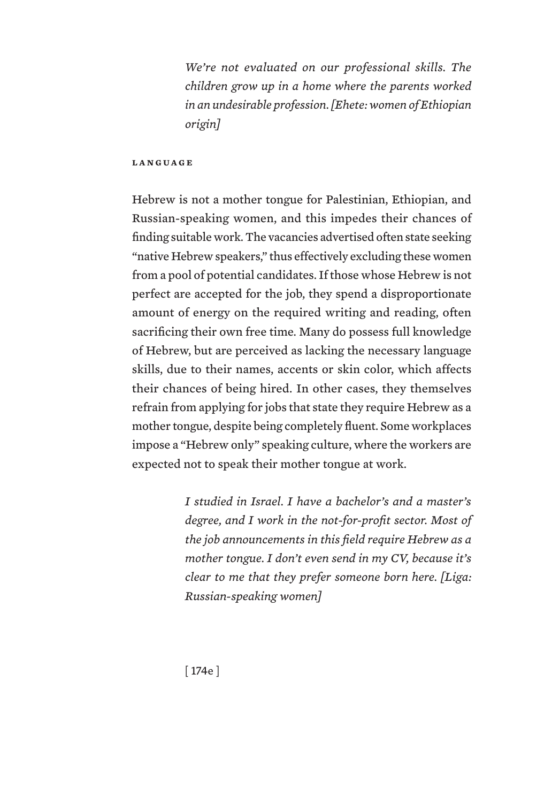*We're not evaluated on our professional skills. The children grow up in a home where the parents worked in an undesirable profession. [Ehete: women of Ethiopian origin]*

#### **language**

Hebrew is not a mother tongue for Palestinian, Ethiopian, and Russian-speaking women, and this impedes their chances of finding suitable work. The vacancies advertised often state seeking "native Hebrew speakers," thus effectively excluding these women from a pool of potential candidates. If those whose Hebrew is not perfect are accepted for the job, they spend a disproportionate amount of energy on the required writing and reading, often sacrificing their own free time. Many do possess full knowledge of Hebrew, but are perceived as lacking the necessary language skills, due to their names, accents or skin color, which affects their chances of being hired. In other cases, they themselves refrain from applying for jobs that state they require Hebrew as a mother tongue, despite being completely fluent. Some workplaces impose a "Hebrew only" speaking culture, where the workers are expected not to speak their mother tongue at work.

> *I studied in Israel. I have a bachelor's and a master's degree, and I work in the not-for-profit sector. Most of the job announcements in this field require Hebrew as a mother tongue. I don't even send in my CV, because it's clear to me that they prefer someone born here. [Liga: Russian-speaking women]*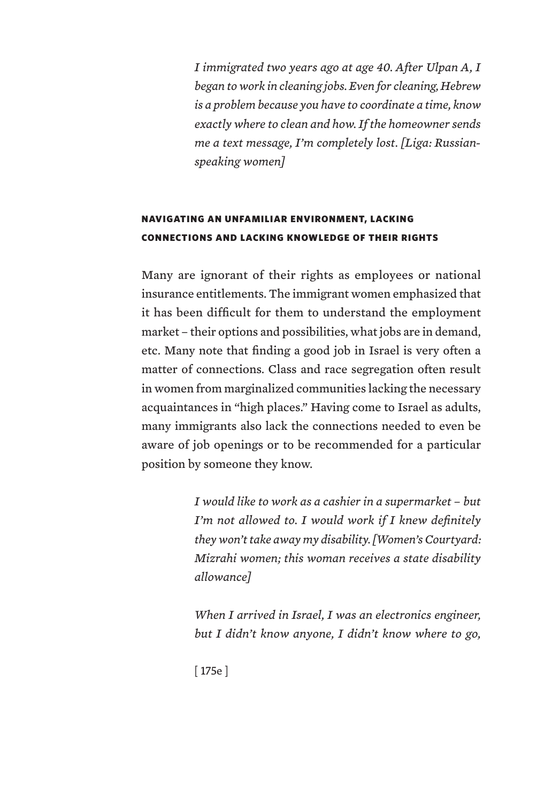*I immigrated two years ago at age 40. After Ulpan A, I began to work in cleaning jobs. Even for cleaning, Hebrew is a problem because you have to coordinate a time, know exactly where to clean and how. If the homeowner sends me a text message, I'm completely lost. [Liga: Russianspeaking women]*

# NAVIGATING AN UNFAMILIAR ENVIRONMENT, LACKING CONNECTIONS AND LACKING KNOWLEDGE OF THEIR RIGHTS

Many are ignorant of their rights as employees or national insurance entitlements. The immigrant women emphasized that it has been difficult for them to understand the employment market – their options and possibilities, what jobs are in demand, etc. Many note that finding a good job in Israel is very often a matter of connections. Class and race segregation often result in women from marginalized communities lacking the necessary acquaintances in "high places." Having come to Israel as adults, many immigrants also lack the connections needed to even be aware of job openings or to be recommended for a particular position by someone they know.

> *I would like to work as a cashier in a supermarket – but I'm not allowed to. I would work if I knew definitely they won't take away my disability. [Women's Courtyard: Mizrahi women; this woman receives a state disability allowance]*

> *When I arrived in Israel, I was an electronics engineer, but I didn't know anyone, I didn't know where to go,*

[ 175e ]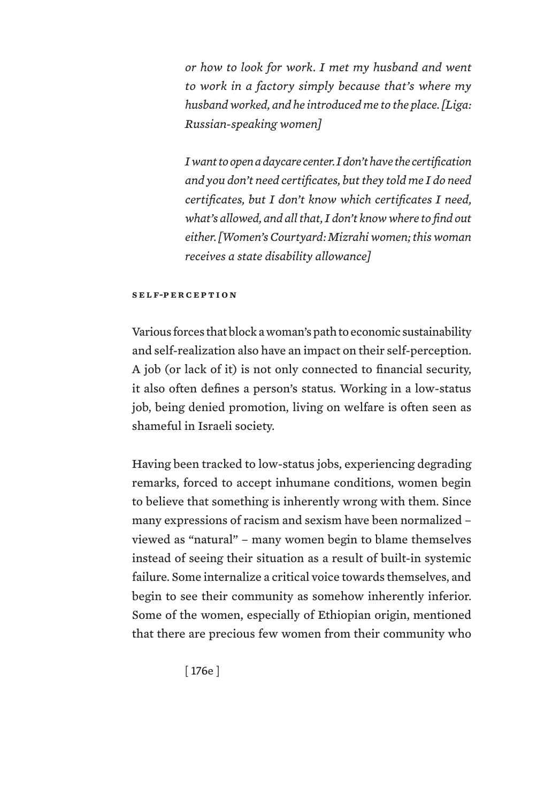*or how to look for work. I met my husband and went to work in a factory simply because that's where my husband worked, and he introduced me to the place. [Liga: Russian-speaking women]*

*I want to open a daycare center. I don't have the certification and you don't need certificates, but they told me I do need certificates, but I don't know which certificates I need, what's allowed, and all that, I don't know where to find out either. [Women's Courtyard: Mizrahi women; this woman receives a state disability allowance]*

#### **self-p e r c e p t i o n**

Various forces that block a woman's path to economic sustainability and self-realization also have an impact on their self-perception. A job (or lack of it) is not only connected to financial security, it also often defines a person's status. Working in a low-status job, being denied promotion, living on welfare is often seen as shameful in Israeli society.

Having been tracked to low-status jobs, experiencing degrading remarks, forced to accept inhumane conditions, women begin to believe that something is inherently wrong with them. Since many expressions of racism and sexism have been normalized – viewed as "natural" – many women begin to blame themselves instead of seeing their situation as a result of built-in systemic failure. Some internalize a critical voice towards themselves, and begin to see their community as somehow inherently inferior. Some of the women, especially of Ethiopian origin, mentioned that there are precious few women from their community who

[ 176e ]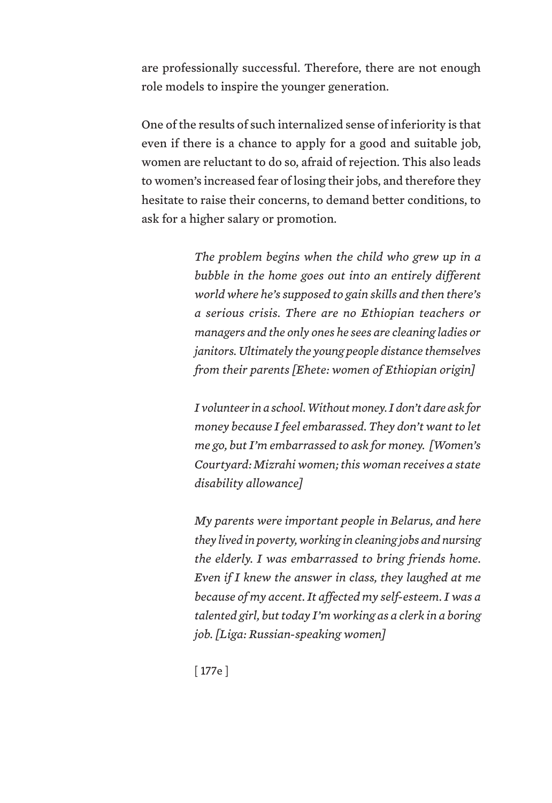are professionally successful. Therefore, there are not enough role models to inspire the younger generation.

One of the results of such internalized sense of inferiority is that even if there is a chance to apply for a good and suitable job, women are reluctant to do so, afraid of rejection. This also leads to women's increased fear of losing their jobs, and therefore they hesitate to raise their concerns, to demand better conditions, to ask for a higher salary or promotion.

> *The problem begins when the child who grew up in a bubble in the home goes out into an entirely different world where he's supposed to gain skills and then there's a serious crisis. There are no Ethiopian teachers or managers and the only ones he sees are cleaning ladies or janitors. Ultimately the young people distance themselves from their parents [Ehete: women of Ethiopian origin]*

> *I volunteer in a school. Without money. I don't dare ask for money because I feel embarassed. They don't want to let me go, but I'm embarrassed to ask for money. [Women's Courtyard: Mizrahi women; this woman receives a state disability allowance]*

> *My parents were important people in Belarus, and here they lived in poverty, working in cleaning jobs and nursing the elderly. I was embarrassed to bring friends home. Even if I knew the answer in class, they laughed at me because of my accent. It affected my self-esteem. I was a talented girl, but today I'm working as a clerk in a boring job. [Liga: Russian-speaking women]*

[ 177e ]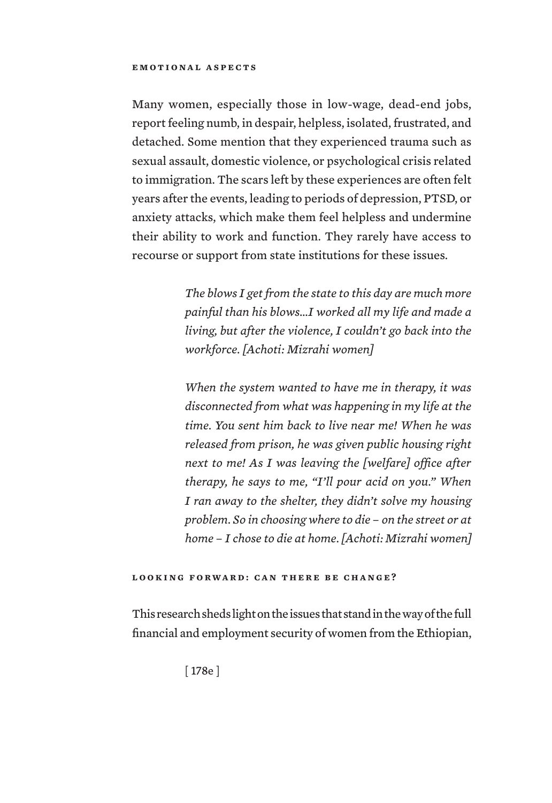Many women, especially those in low-wage, dead-end jobs, report feeling numb, in despair, helpless, isolated, frustrated, and detached. Some mention that they experienced trauma such as sexual assault, domestic violence, or psychological crisis related to immigration. The scars left by these experiences are often felt years after the events, leading to periods of depression, PTSD, or anxiety attacks, which make them feel helpless and undermine their ability to work and function. They rarely have access to recourse or support from state institutions for these issues.

> *The blows I get from the state to this day are much more painful than his blows…I worked all my life and made a living, but after the violence, I couldn't go back into the workforce. [Achoti: Mizrahi women]*

> *When the system wanted to have me in therapy, it was disconnected from what was happening in my life at the time. You sent him back to live near me! When he was released from prison, he was given public housing right next to me! As I was leaving the [welfare] office after therapy, he says to me, "I'll pour acid on you." When I ran away to the shelter, they didn't solve my housing problem. So in choosing where to die – on the street or at home – I chose to die at home. [Achoti: Mizrahi women]*

### **looking forward: can there be change?**

This research sheds light on the issues that stand in the way of the full financial and employment security of women from the Ethiopian,

[ 178e ]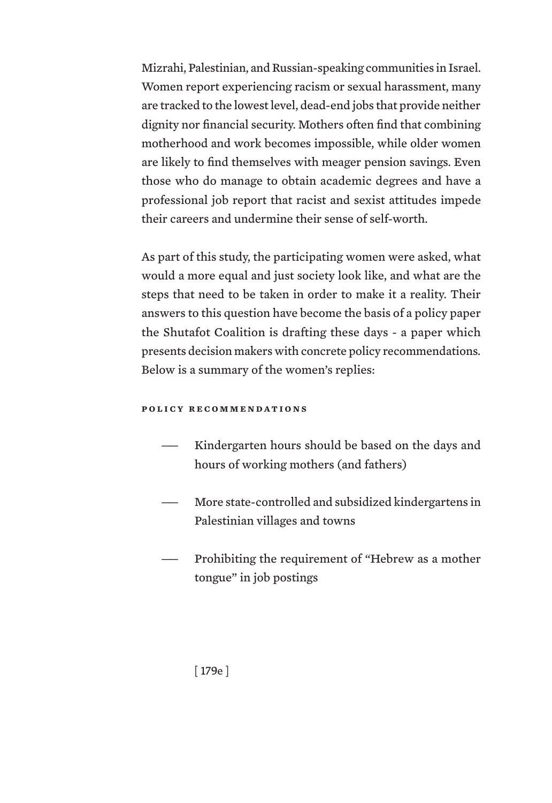Mizrahi, Palestinian, and Russian-speaking communities in Israel. Women report experiencing racism or sexual harassment, many are tracked to the lowest level, dead-end jobs that provide neither dignity nor financial security. Mothers often find that combining motherhood and work becomes impossible, while older women are likely to find themselves with meager pension savings. Even those who do manage to obtain academic degrees and have a professional job report that racist and sexist attitudes impede their careers and undermine their sense of self-worth.

As part of this study, the participating women were asked, what would a more equal and just society look like, and what are the steps that need to be taken in order to make it a reality. Their answers to this question have become the basis of a policy paper the Shutafot Coalition is drafting these days - a paper which presents decision makers with concrete policy recommendations. Below is a summary of the women's replies:

### **policy recommendations**

- Kindergarten hours should be based on the days and hours of working mothers (and fathers)
- More state-controlled and subsidized kindergartens in Palestinian villages and towns
- Prohibiting the requirement of "Hebrew as a mother tongue" in job postings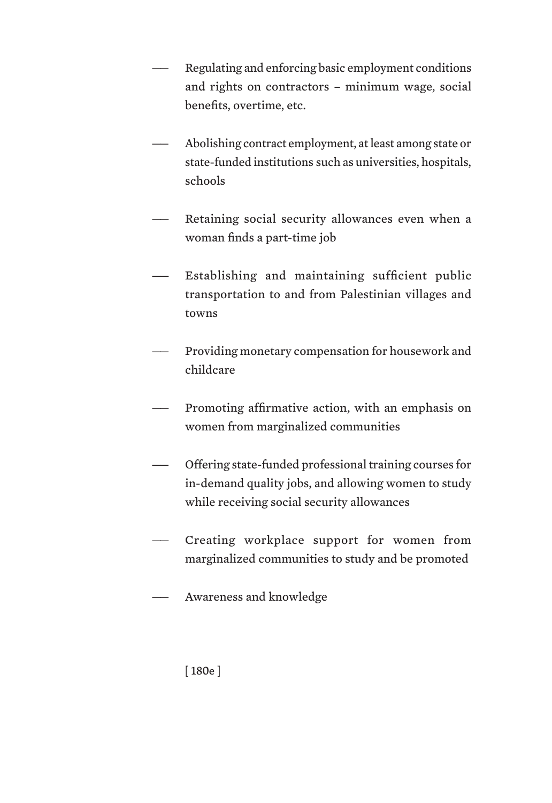- Regulating and enforcing basic employment conditions and rights on contractors – minimum wage, social benefits, overtime, etc.
- Abolishing contract employment, at least among state or state-funded institutions such as universities, hospitals, schools
- Retaining social security allowances even when a woman finds a part-time job
- Establishing and maintaining sufficient public transportation to and from Palestinian villages and towns
- Providing monetary compensation for housework and childcare
- Promoting affirmative action, with an emphasis on women from marginalized communities
- —— Offering state-funded professional training courses for in-demand quality jobs, and allowing women to study while receiving social security allowances
- Creating workplace support for women from marginalized communities to study and be promoted
- Awareness and knowledge

[ 180e ]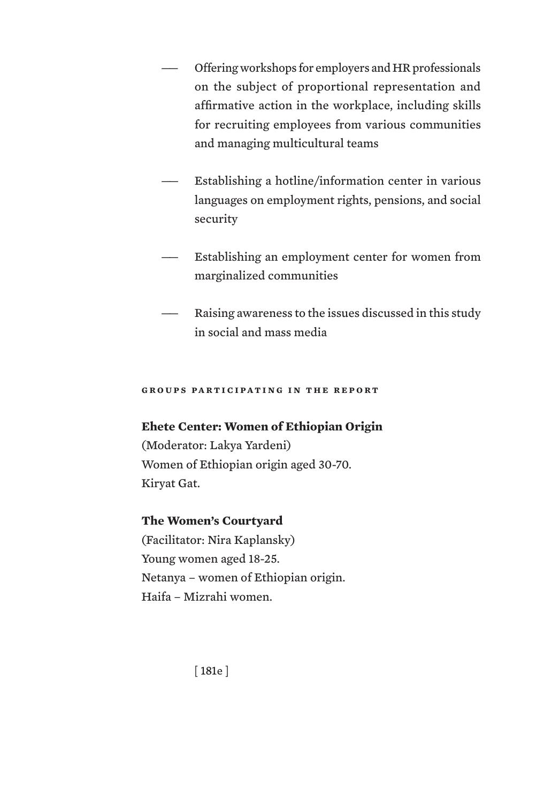- Offering workshops for employers and HR professionals on the subject of proportional representation and affirmative action in the workplace, including skills for recruiting employees from various communities and managing multicultural teams
- Establishing a hotline/information center in various languages on employment rights, pensions, and social security
- Establishing an employment center for women from marginalized communities
- Raising awareness to the issues discussed in this study in social and mass media

### **groups participating in the report**

## **Ehete Center: Women of Ethiopian Origin**

(Moderator: Lakya Yardeni) Women of Ethiopian origin aged 30-70. Kiryat Gat.

## **The Women's Courtyard**

(Facilitator: Nira Kaplansky) Young women aged 18-25. Netanya – women of Ethiopian origin. Haifa – Mizrahi women.

[ 181e ]